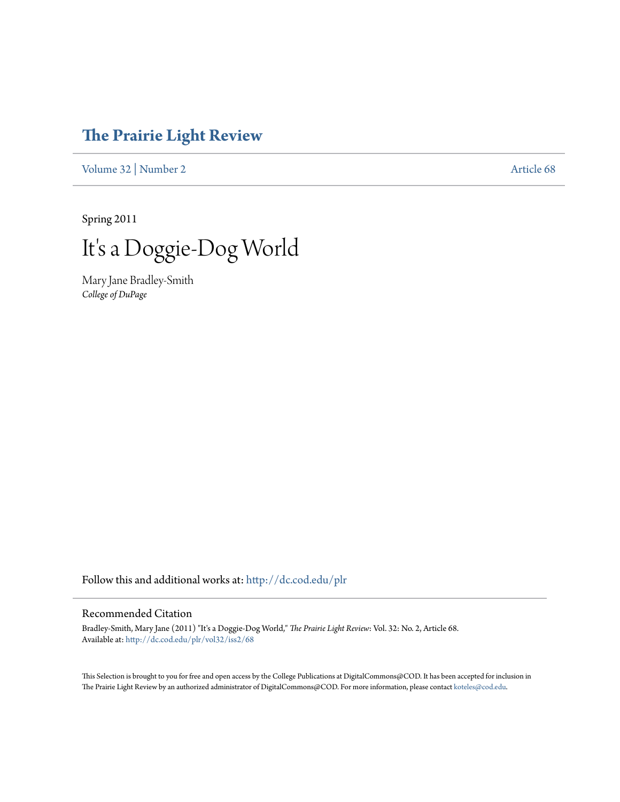# **[The Prairie Light Review](http://dc.cod.edu/plr?utm_source=dc.cod.edu%2Fplr%2Fvol32%2Fiss2%2F68&utm_medium=PDF&utm_campaign=PDFCoverPages)**

[Volume 32](http://dc.cod.edu/plr/vol32?utm_source=dc.cod.edu%2Fplr%2Fvol32%2Fiss2%2F68&utm_medium=PDF&utm_campaign=PDFCoverPages) | [Number 2](http://dc.cod.edu/plr/vol32/iss2?utm_source=dc.cod.edu%2Fplr%2Fvol32%2Fiss2%2F68&utm_medium=PDF&utm_campaign=PDFCoverPages) [Article 68](http://dc.cod.edu/plr/vol32/iss2/68?utm_source=dc.cod.edu%2Fplr%2Fvol32%2Fiss2%2F68&utm_medium=PDF&utm_campaign=PDFCoverPages)

Spring 2011

It's a Doggie-Dog World

Mary Jane Bradley-Smith *College of DuPage*

Follow this and additional works at: [http://dc.cod.edu/plr](http://dc.cod.edu/plr?utm_source=dc.cod.edu%2Fplr%2Fvol32%2Fiss2%2F68&utm_medium=PDF&utm_campaign=PDFCoverPages)

## Recommended Citation

Bradley-Smith, Mary Jane (2011) "It's a Doggie-Dog World," *The Prairie Light Review*: Vol. 32: No. 2, Article 68. Available at: [http://dc.cod.edu/plr/vol32/iss2/68](http://dc.cod.edu/plr/vol32/iss2/68?utm_source=dc.cod.edu%2Fplr%2Fvol32%2Fiss2%2F68&utm_medium=PDF&utm_campaign=PDFCoverPages)

This Selection is brought to you for free and open access by the College Publications at DigitalCommons@COD. It has been accepted for inclusion in The Prairie Light Review by an authorized administrator of DigitalCommons@COD. For more information, please contact [koteles@cod.edu.](mailto:koteles@cod.edu)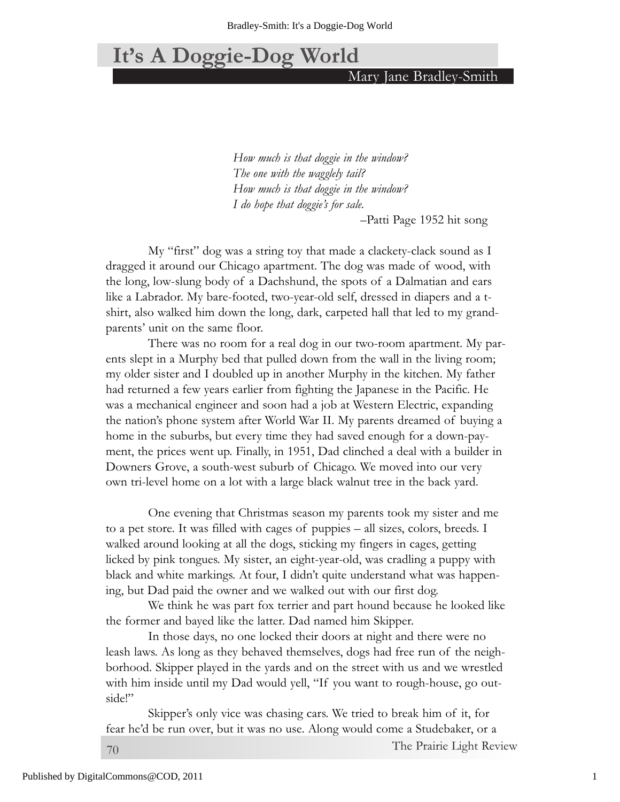# **It's A Doggie-Dog World**

Mary Jane Bradley-Smith

*How much is that doggie in the window? The one with the wagglely tail? How much is that doggie in the window? I do hope that doggie's for sale.*

–Patti Page 1952 hit song

My "first" dog was a string toy that made a clackety-clack sound as I dragged it around our Chicago apartment. The dog was made of wood, with the long, low-slung body of a Dachshund, the spots of a Dalmatian and ears like a Labrador. My bare-footed, two-year-old self, dressed in diapers and a tshirt, also walked him down the long, dark, carpeted hall that led to my grandparents' unit on the same floor.

There was no room for a real dog in our two-room apartment. My parents slept in a Murphy bed that pulled down from the wall in the living room; my older sister and I doubled up in another Murphy in the kitchen. My father had returned a few years earlier from fighting the Japanese in the Pacific. He was a mechanical engineer and soon had a job at Western Electric, expanding the nation's phone system after World War II. My parents dreamed of buying a home in the suburbs, but every time they had saved enough for a down-payment, the prices went up. Finally, in 1951, Dad clinched a deal with a builder in Downers Grove, a south-west suburb of Chicago. We moved into our very own tri-level home on a lot with a large black walnut tree in the back yard.

One evening that Christmas season my parents took my sister and me to a pet store. It was filled with cages of puppies – all sizes, colors, breeds. I walked around looking at all the dogs, sticking my fingers in cages, getting licked by pink tongues. My sister, an eight-year-old, was cradling a puppy with black and white markings. At four, I didn't quite understand what was happening, but Dad paid the owner and we walked out with our first dog.

We think he was part fox terrier and part hound because he looked like the former and bayed like the latter. Dad named him Skipper.

In those days, no one locked their doors at night and there were no leash laws. As long as they behaved themselves, dogs had free run of the neighborhood. Skipper played in the yards and on the street with us and we wrestled with him inside until my Dad would yell, "If you want to rough-house, go outside!"

Skipper's only vice was chasing cars. We tried to break him of it, for fear he'd be run over, but it was no use. Along would come a Studebaker, or a

70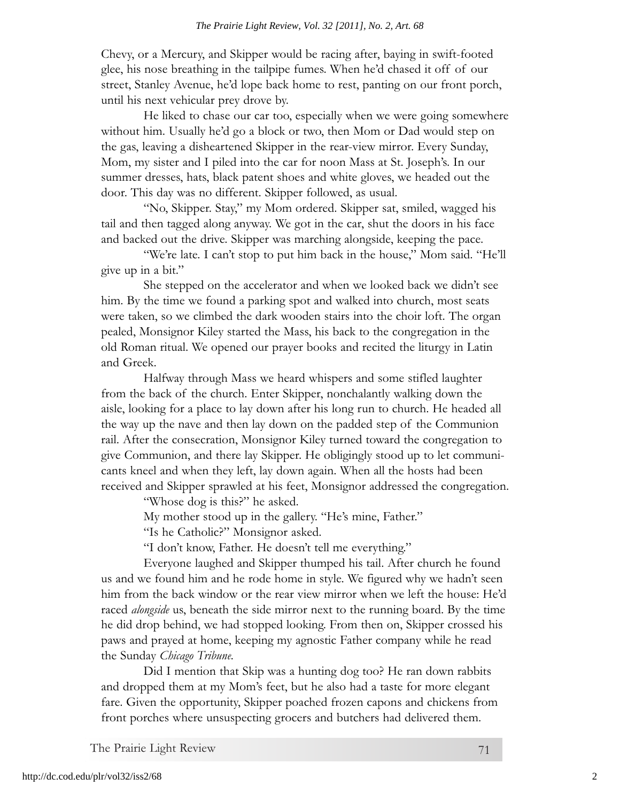#### *The Prairie Light Review, Vol. 32 [2011], No. 2, Art. 68*

Chevy, or a Mercury, and Skipper would be racing after, baying in swift-footed glee, his nose breathing in the tailpipe fumes. When he'd chased it off of our street, Stanley Avenue, he'd lope back home to rest, panting on our front porch, until his next vehicular prey drove by.

He liked to chase our car too, especially when we were going somewhere without him. Usually he'd go a block or two, then Mom or Dad would step on the gas, leaving a disheartened Skipper in the rear-view mirror. Every Sunday, Mom, my sister and I piled into the car for noon Mass at St. Joseph's. In our summer dresses, hats, black patent shoes and white gloves, we headed out the door. This day was no different. Skipper followed, as usual.

"No, Skipper. Stay," my Mom ordered. Skipper sat, smiled, wagged his tail and then tagged along anyway. We got in the car, shut the doors in his face and backed out the drive. Skipper was marching alongside, keeping the pace.

"We're late. I can't stop to put him back in the house," Mom said. "He'll give up in a bit."

She stepped on the accelerator and when we looked back we didn't see him. By the time we found a parking spot and walked into church, most seats were taken, so we climbed the dark wooden stairs into the choir loft. The organ pealed, Monsignor Kiley started the Mass, his back to the congregation in the old Roman ritual. We opened our prayer books and recited the liturgy in Latin and Greek.

Halfway through Mass we heard whispers and some stifled laughter from the back of the church. Enter Skipper, nonchalantly walking down the aisle, looking for a place to lay down after his long run to church. He headed all the way up the nave and then lay down on the padded step of the Communion rail. After the consecration, Monsignor Kiley turned toward the congregation to give Communion, and there lay Skipper. He obligingly stood up to let communicants kneel and when they left, lay down again. When all the hosts had been received and Skipper sprawled at his feet, Monsignor addressed the congregation.

"Whose dog is this?" he asked.

My mother stood up in the gallery. "He's mine, Father."

"Is he Catholic?" Monsignor asked.

"I don't know, Father. He doesn't tell me everything."

Everyone laughed and Skipper thumped his tail. After church he found us and we found him and he rode home in style. We figured why we hadn't seen him from the back window or the rear view mirror when we left the house: He'd raced *alongside* us, beneath the side mirror next to the running board. By the time he did drop behind, we had stopped looking. From then on, Skipper crossed his paws and prayed at home, keeping my agnostic Father company while he read the Sunday *Chicago Tribune.*

Did I mention that Skip was a hunting dog too? He ran down rabbits and dropped them at my Mom's feet, but he also had a taste for more elegant fare. Given the opportunity, Skipper poached frozen capons and chickens from front porches where unsuspecting grocers and butchers had delivered them.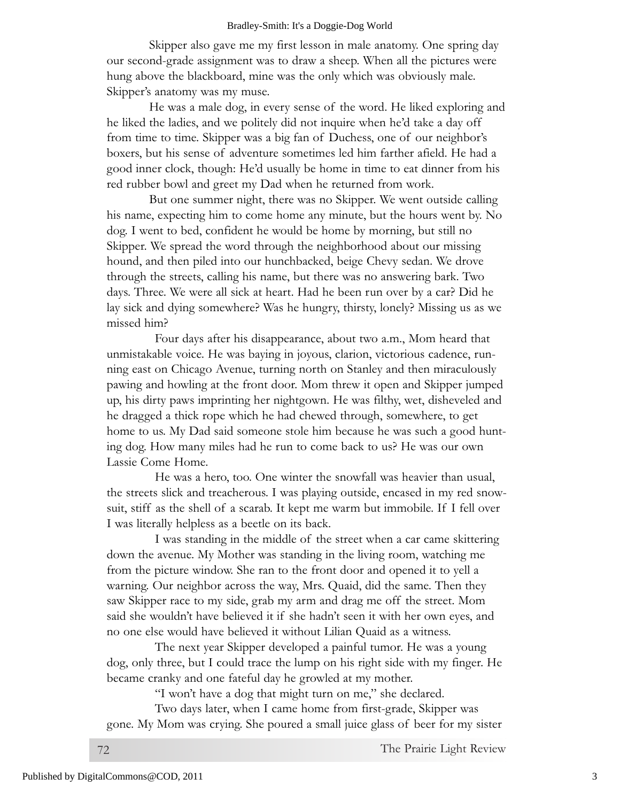#### Bradley-Smith: It's a Doggie-Dog World

Skipper also gave me my first lesson in male anatomy. One spring day our second-grade assignment was to draw a sheep. When all the pictures were hung above the blackboard, mine was the only which was obviously male. Skipper's anatomy was my muse.

He was a male dog, in every sense of the word. He liked exploring and he liked the ladies, and we politely did not inquire when he'd take a day off from time to time. Skipper was a big fan of Duchess, one of our neighbor's boxers, but his sense of adventure sometimes led him farther afield. He had a good inner clock, though: He'd usually be home in time to eat dinner from his red rubber bowl and greet my Dad when he returned from work.

But one summer night, there was no Skipper. We went outside calling his name, expecting him to come home any minute, but the hours went by. No dog. I went to bed, confident he would be home by morning, but still no Skipper. We spread the word through the neighborhood about our missing hound, and then piled into our hunchbacked, beige Chevy sedan. We drove through the streets, calling his name, but there was no answering bark. Two days. Three. We were all sick at heart. Had he been run over by a car? Did he lay sick and dying somewhere? Was he hungry, thirsty, lonely? Missing us as we missed him?

Four days after his disappearance, about two a.m., Mom heard that unmistakable voice. He was baying in joyous, clarion, victorious cadence, running east on Chicago Avenue, turning north on Stanley and then miraculously pawing and howling at the front door. Mom threw it open and Skipper jumped up, his dirty paws imprinting her nightgown. He was filthy, wet, disheveled and he dragged a thick rope which he had chewed through, somewhere, to get home to us. My Dad said someone stole him because he was such a good hunting dog. How many miles had he run to come back to us? He was our own Lassie Come Home.

He was a hero, too. One winter the snowfall was heavier than usual, the streets slick and treacherous. I was playing outside, encased in my red snowsuit, stiff as the shell of a scarab. It kept me warm but immobile. If I fell over I was literally helpless as a beetle on its back.

I was standing in the middle of the street when a car came skittering down the avenue. My Mother was standing in the living room, watching me from the picture window. She ran to the front door and opened it to yell a warning. Our neighbor across the way, Mrs. Quaid, did the same. Then they saw Skipper race to my side, grab my arm and drag me off the street. Mom said she wouldn't have believed it if she hadn't seen it with her own eyes, and no one else would have believed it without Lilian Quaid as a witness.

The next year Skipper developed a painful tumor. He was a young dog, only three, but I could trace the lump on his right side with my finger. He became cranky and one fateful day he growled at my mother.

"I won't have a dog that might turn on me," she declared.

Two days later, when I came home from first-grade, Skipper was gone. My Mom was crying. She poured a small juice glass of beer for my sister

72 The Prairie Light Review